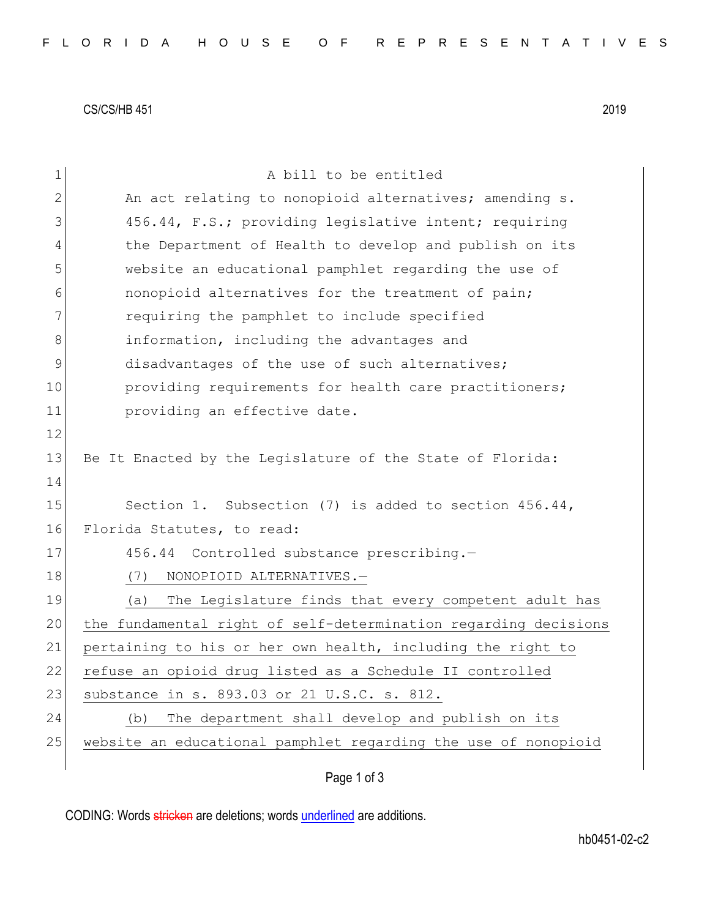CS/CS/HB 451 2019

| $\mathbf 1$    | A bill to be entitled                                           |  |  |  |  |  |  |  |  |  |  |
|----------------|-----------------------------------------------------------------|--|--|--|--|--|--|--|--|--|--|
| $\overline{2}$ | An act relating to nonopioid alternatives; amending s.          |  |  |  |  |  |  |  |  |  |  |
| 3              | 456.44, F.S.; providing legislative intent; requiring           |  |  |  |  |  |  |  |  |  |  |
| 4              | the Department of Health to develop and publish on its          |  |  |  |  |  |  |  |  |  |  |
| 5              | website an educational pamphlet regarding the use of            |  |  |  |  |  |  |  |  |  |  |
| 6              | nonopioid alternatives for the treatment of pain;               |  |  |  |  |  |  |  |  |  |  |
| 7              | requiring the pamphlet to include specified                     |  |  |  |  |  |  |  |  |  |  |
| 8              | information, including the advantages and                       |  |  |  |  |  |  |  |  |  |  |
| 9              | disadvantages of the use of such alternatives;                  |  |  |  |  |  |  |  |  |  |  |
| 10             | providing requirements for health care practitioners;           |  |  |  |  |  |  |  |  |  |  |
| 11             | providing an effective date.                                    |  |  |  |  |  |  |  |  |  |  |
| 12             |                                                                 |  |  |  |  |  |  |  |  |  |  |
| 13             | Be It Enacted by the Legislature of the State of Florida:       |  |  |  |  |  |  |  |  |  |  |
| 14             |                                                                 |  |  |  |  |  |  |  |  |  |  |
| 15             | Section 1. Subsection (7) is added to section $456.44$ ,        |  |  |  |  |  |  |  |  |  |  |
| 16             | Florida Statutes, to read:                                      |  |  |  |  |  |  |  |  |  |  |
| 17             | 456.44 Controlled substance prescribing.-                       |  |  |  |  |  |  |  |  |  |  |
| 18             | (7)<br>NONOPIOID ALTERNATIVES.-                                 |  |  |  |  |  |  |  |  |  |  |
| 19             | The Legislature finds that every competent adult has<br>(a)     |  |  |  |  |  |  |  |  |  |  |
| 20             | the fundamental right of self-determination regarding decisions |  |  |  |  |  |  |  |  |  |  |
| 21             | pertaining to his or her own health, including the right to     |  |  |  |  |  |  |  |  |  |  |
| 22             | refuse an opioid drug listed as a Schedule II controlled        |  |  |  |  |  |  |  |  |  |  |
| 23             | substance in s. 893.03 or 21 U.S.C. s. 812.                     |  |  |  |  |  |  |  |  |  |  |
| 24             | The department shall develop and publish on its<br>(b)          |  |  |  |  |  |  |  |  |  |  |
| 25             | website an educational pamphlet regarding the use of nonopioid  |  |  |  |  |  |  |  |  |  |  |
|                |                                                                 |  |  |  |  |  |  |  |  |  |  |

Page 1 of 3

CODING: Words stricken are deletions; words underlined are additions.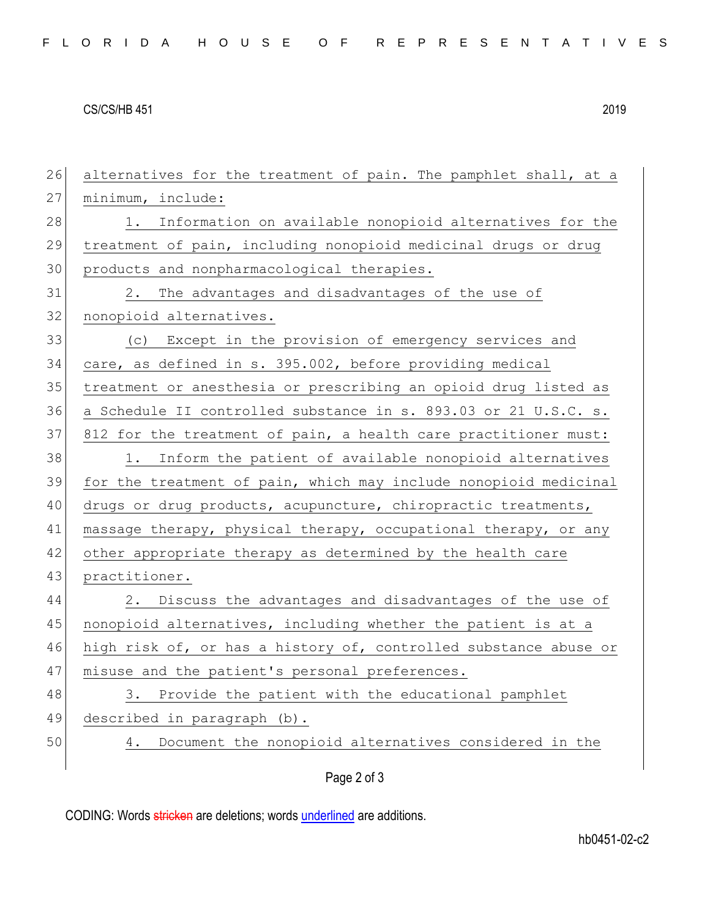## CS/CS/HB 451 2019

26 alternatives for the treatment of pain. The pamphlet shall, at a 27 minimum, include: 28 1. Information on available nonopioid alternatives for the 29 treatment of pain, including nonopioid medicinal drugs or drug 30 products and nonpharmacological therapies. 31 2. The advantages and disadvantages of the use of 32 nonopioid alternatives. 33 (c) Except in the provision of emergency services and 34 care, as defined in s. 395.002, before providing medical 35 treatment or anesthesia or prescribing an opioid drug listed as 36 a Schedule II controlled substance in s. 893.03 or 21 U.S.C. s. 37 812 for the treatment of pain, a health care practitioner must: 38 1. Inform the patient of available nonopioid alternatives 39 for the treatment of pain, which may include nonopioid medicinal 40 drugs or drug products, acupuncture, chiropractic treatments, 41 massage therapy, physical therapy, occupational therapy, or any 42 other appropriate therapy as determined by the health care 43 practitioner. 44 2. Discuss the advantages and disadvantages of the use of 45 nonopioid alternatives, including whether the patient is at a 46 high risk of, or has a history of, controlled substance abuse or 47 misuse and the patient's personal preferences. 48 3. Provide the patient with the educational pamphlet 49 described in paragraph (b). 50 4. Document the nonopioid alternatives considered in the

Page 2 of 3

CODING: Words stricken are deletions; words underlined are additions.